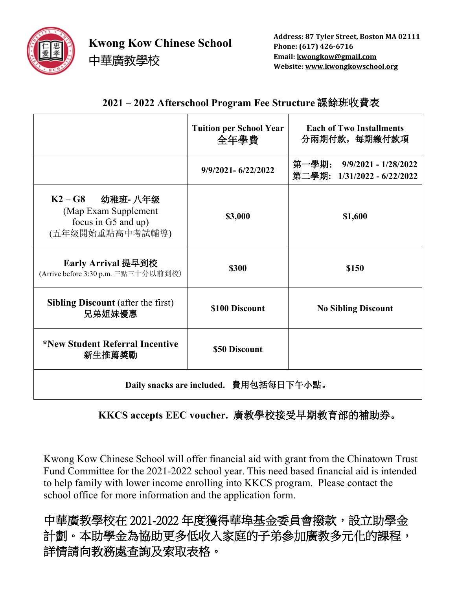

**Kwong Kow Chinese School**

中華廣教學校

**Address: 87 Tyler Street, Boston MA 02111 Phone: (617) 426-6716 Email: kwongkow@gmail.com Website: www.kwongkowschool.org**

|                                                                                 | <b>Tuition per School Year</b><br>全年學費 | <b>Each of Two Installments</b><br>分兩期付款, 每期繳付款項          |
|---------------------------------------------------------------------------------|----------------------------------------|-----------------------------------------------------------|
|                                                                                 | 9/9/2021-6/22/2022                     | 第一學期: 9/9/2021 - 1/28/2022<br>第二學期: 1/31/2022 - 6/22/2022 |
| K2-G8 幼稚班-八年级<br>(Map Exam Supplement<br>focus in G5 and up)<br>(五年级開始重點高中考試輔導) | \$3,000                                | \$1,600                                                   |
| Early Arrival 提早到校<br>(Arrive before 3:30 p.m. 三點三十分以前到校)                       | \$300                                  | \$150                                                     |
| <b>Sibling Discount</b> (after the first)<br>兄弟姐妹優惠                             | \$100 Discount                         | <b>No Sibling Discount</b>                                |
| *New Student Referral Incentive<br>新生推薦獎勵                                       | \$50 Discount                          |                                                           |
|                                                                                 |                                        |                                                           |

## **2021 – 2022 Afterschool Program Fee Structure** 課餘班收費表

**Daily snacks are included.** 費用包括每日下午小點。

 **KKCS accepts EEC voucher.** 廣教學校接受早期教育部的補助券。

Kwong Kow Chinese School will offer financial aid with grant from the Chinatown Trust Fund Committee for the 2021-2022 school year. This need based financial aid is intended to help family with lower income enrolling into KKCS program. Please contact the school office for more information and the application form.

中華廣教學校在 2021-2022 年度獲得華埠基金委員會撥款,設立助學金 計劃。本助學金為協助更多低收入家庭的子弟參加廣教多元化的課程, 詳情請向教務處查詢及索取表格。